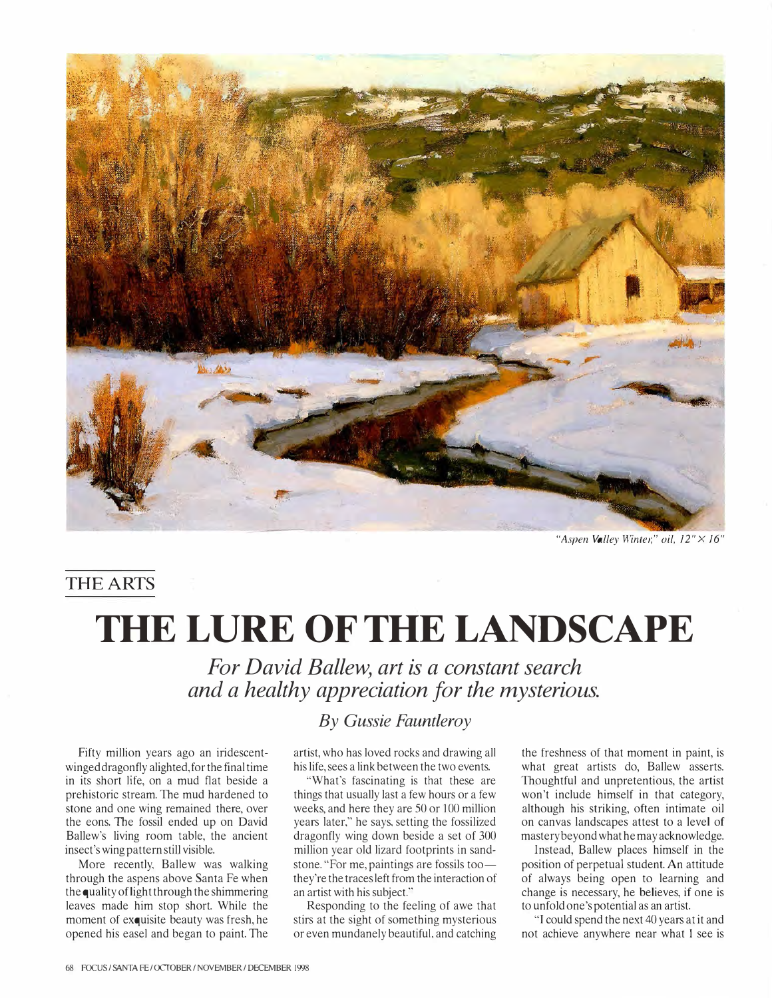

"Aspen Valley Winter," oil, 12" × 16"

## THE ARTS

## THE LURE OF THE LANDSCAPE

For David Ballew, art is a constant search and a healthy appreciation for the mysterious.

Fifty million years ago an iridescentwinged dragonfly alighted, for the final time in its short life, on a mud flat beside a prehistoric stream. The mud hardened to stone and one wing remained there, over the eons. The fossil ended up on David Ballew's living room table, the ancient insect's wing pattern still visible.

More recently, Ballew was walking through the aspens above Santa Fe when the quality of light through the shimmering leaves made him stop short. While the moment of exquisite beauty was fresh, he opened his easel and began to paint. The

## By Gussie Fauntleroy

artist, who has loved rocks and drawing all his life, sees a link between the two events.

"What's fascinating is that these are things that usually last a few hours or a few weeks, and here they are 50 or 100 million years later," he says, setting the fossilized dragonfly wing down beside a set of 300 million year old lizard footprints in sandstone. "For me, paintings are fossils toothey're the traces left from the interaction of an artist with his subject."

Responding to the feeling of awe that stirs at the sight of something mysterious or even mundanely beautiful, and catching

the freshness of that moment in paint, is what great artists do, Ballew asserts. Thoughtful and unpretentious, the artist won't include himself in that category, although his striking, often intimate oil on canvas landscapes attest to a level of mastery beyond what he may acknowledge.

Instead, Ballew places himself in the position of perpetual student. An attitude of always being open to learning and change is necessary, he believes, if one is to unfold one's potential as an artist.

"I could spend the next 40 years at it and not achieve anywhere near what I see is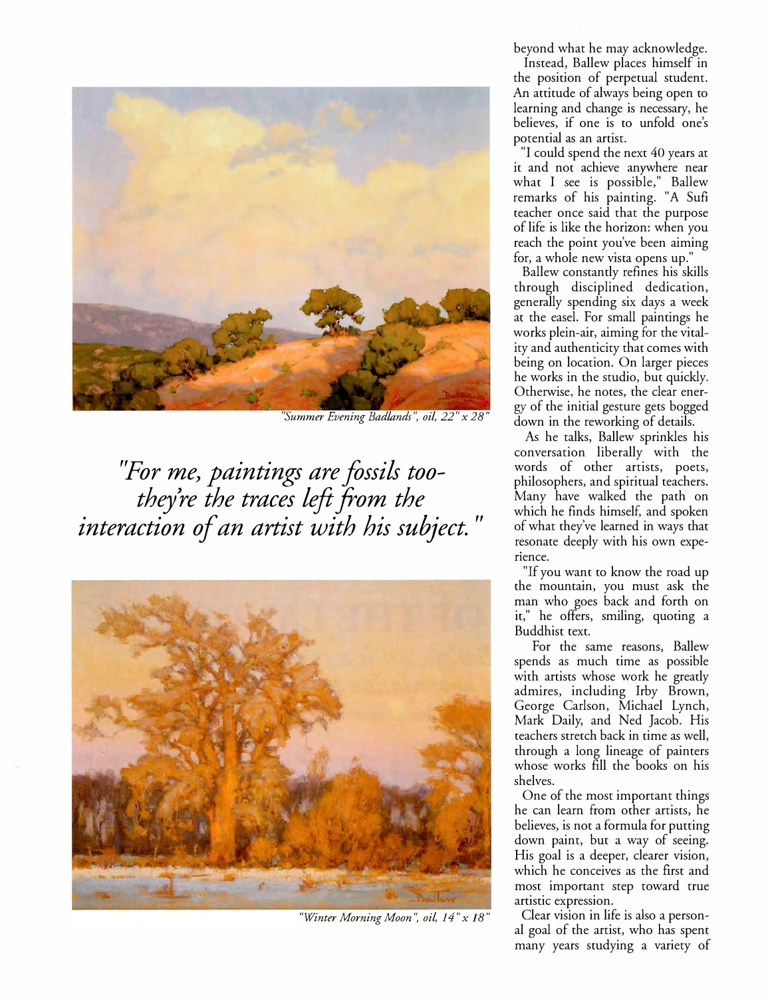

"Summer Evening Badlands''. oil, 22" x 28"

"For me, paintings are fossils toothey're the traces left from the interaction of an artist with his subject. "



"Winter Morning Moon", oil, 14" x 18"

beyond what he may acknowledge.

Instead, Ballew places himself in the position of perpetual student. An attitude of always being open to learning and change is necessary, he believes, if one is to unfold one's potential as an artist.

"I could spend the next 40 years at it and not achieve anywhere near what I see is possible," Ballew remarks of his painting. "A Sufi teacher once said that the purpose of life is like the horizon: when you reach the point you've been aiming for, a whole new vista opens up."

Ballew constantly refines his skills through disciplined dedication, generally spending six days a week at the easel. For small paintings he works plein-air, aiming for the vitality and authenticity that comes with being on location. On larger pieces he works in the studio, but quickly. Otherwise, he notes, the clear energy of the initial gesture gets bogged down in the reworking of details.

As he talks, Ballew sprinkles his conversation liberally with the words of other artists, poets, philosophers, and spiritual teachers. Many have walked the path on which he finds himself, and spoken of what they've learned in ways that resonate deeply with his own experience.

"If you want to know the road up the mountain, you must ask the man who goes back and forth on it," he offers, smiling, quoting a Buddhist text.

For the same reasons, Ballew spends as much time as possible with artists whose work he greatly admires, including Irby Brown, George Carlson, Michael Lynch, Mark Daily, and Ned Jacob. His teachers stretch back in time as well, through a long lineage of painters whose works fill the books on his shelves.

One of the most important things he can learn from other artists, he believes, is not a formula for putting down paint, but a way of seeing. His goal is a deeper, clearer vision, which he conceives as the first and most important step toward true artistic expression.

Clear vision in life is also a personal goal of the artist, who has spent many years studying a variety of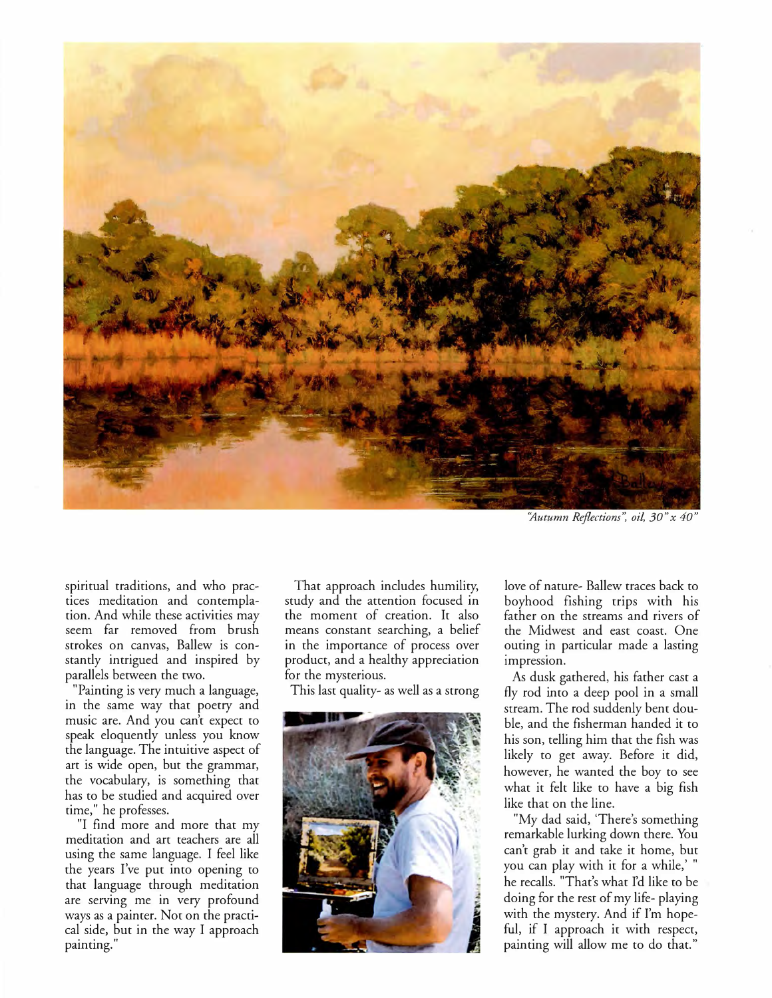

"Autumn Reflections", oil, 30" x 40"

spiritual traditions, and who practices meditation and contemplation. And while these activities may seem far removed from brush strokes on canvas, Ballew is constantly intrigued and inspired by parallels between the two.

"Painting is very much a language, in the same way that poetry and music are. And you can't expect to speak eloquently unless you know the language. The intuitive aspect of art is wide open, but the grammar, the vocabulary, is something that has to be studied and acquired over time," he professes.

"I find more and more that my meditation and art teachers are all using the same language. I feel like the years I've put into opening to that language through meditation are serving me in very profound ways as a painter. Not on the practical side, but in the way I approach painting."

That approach includes humility, study and the attention focused in the moment of creation. It also means constant searching, a belief in the importance of process over product, and a healthy appreciation for the mysterious.

This last quality- as well as a strong



love of nature- Ballew traces back to boyhood fishing trips with his father on the streams and rivers of the Midwest and east coast. One outing in particular made a lasting impression.

As dusk gathered, his father cast a fly rod into a deep pool in a small stream. The rod suddenly bent double, and the fisherman handed it to his son, telling him that the fish was likely to get away. Before it did, however, he wanted the boy to see what it felt like to have a big fish like that on the line.

"My dad said, 'There's something remarkable lurking down there. You can't grab it and take it home, but you can play with it for a while,' " he recalls. "That's what I'd like to be doing for the rest of my life- playing with the mystery. And if I'm hopeful, if I approach it with respect, painting will allow me to do that."